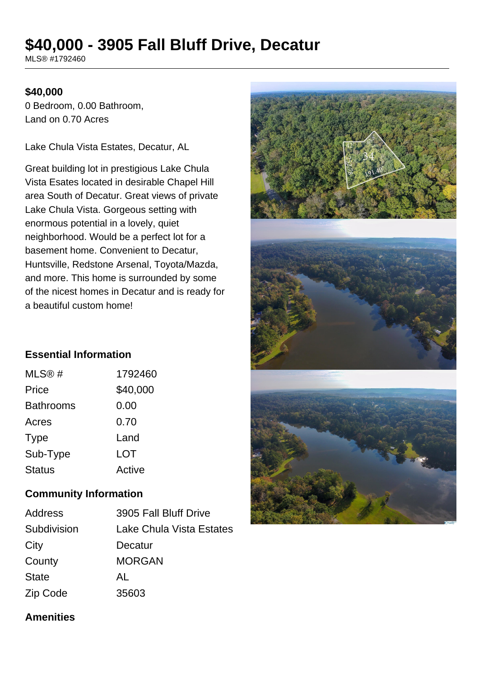# **\$40,000 - 3905 Fall Bluff Drive, Decatur**

MLS® #1792460

## **\$40,000**

0 Bedroom, 0.00 Bathroom, Land on 0.70 Acres

Lake Chula Vista Estates, Decatur, AL

Great building lot in prestigious Lake Chula Vista Esates located in desirable Chapel Hill area South of Decatur. Great views of private Lake Chula Vista. Gorgeous setting with enormous potential in a lovely, quiet neighborhood. Would be a perfect lot for a basement home. Convenient to Decatur, Huntsville, Redstone Arsenal, Toyota/Mazda, and more. This home is surrounded by some of the nicest homes in Decatur and is ready for a beautiful custom home!



# **Essential Information**

| MLS@#            | 1792460  |
|------------------|----------|
| Price            | \$40,000 |
| <b>Bathrooms</b> | 0.00     |
| Acres            | 0.70     |
| <b>Type</b>      | Land     |
| Sub-Type         | LOT      |
| <b>Status</b>    | Active   |

#### **Community Information**

| <b>Address</b> | 3905 Fall Bluff Drive    |
|----------------|--------------------------|
| Subdivision    | Lake Chula Vista Estates |
| City           | Decatur                  |
| County         | <b>MORGAN</b>            |
| <b>State</b>   | AL                       |
| Zip Code       | 35603                    |

#### **Amenities**